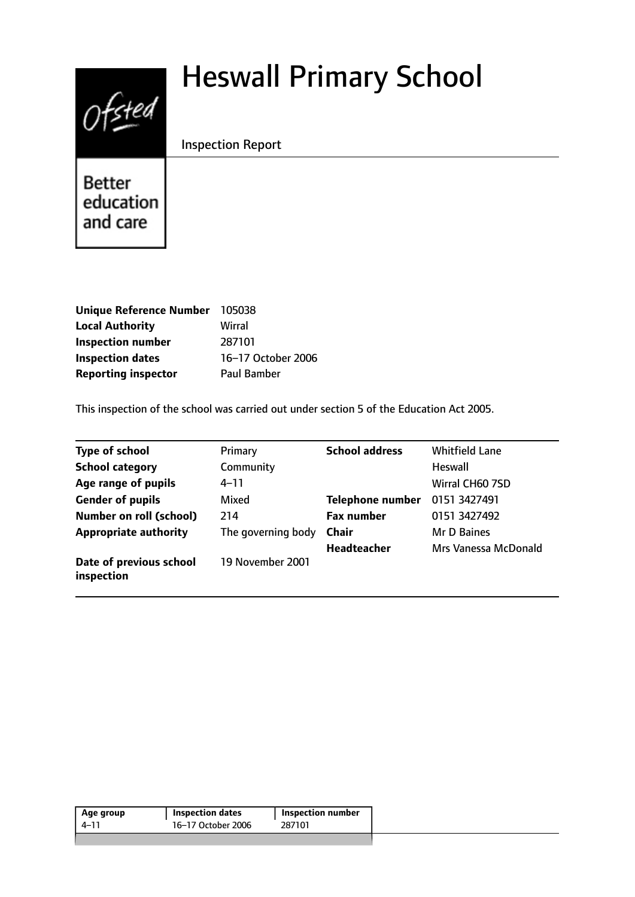# Heswall Primary School



Inspection Report

**Better** education and care

| <b>Unique Reference Number</b> | 105038             |
|--------------------------------|--------------------|
| <b>Local Authority</b>         | Wirral             |
| <b>Inspection number</b>       | 287101             |
| <b>Inspection dates</b>        | 16-17 October 2006 |
| <b>Reporting inspector</b>     | <b>Paul Bamber</b> |

This inspection of the school was carried out under section 5 of the Education Act 2005.

| <b>Type of school</b>                 | Primary            | <b>School address</b>   | <b>Whitfield Lane</b> |
|---------------------------------------|--------------------|-------------------------|-----------------------|
| <b>School category</b>                | Community          |                         | <b>Heswall</b>        |
| Age range of pupils                   | 4–11               |                         | Wirral CH60 7SD       |
| <b>Gender of pupils</b>               | Mixed              | <b>Telephone number</b> | 0151 3427491          |
| <b>Number on roll (school)</b>        | 214                | <b>Fax number</b>       | 0151 3427492          |
| <b>Appropriate authority</b>          | The governing body | <b>Chair</b>            | Mr D Baines           |
|                                       |                    | <b>Headteacher</b>      | Mrs Vanessa McDonald  |
| Date of previous school<br>inspection | 19 November 2001   |                         |                       |

| 4–11 | 16-17 October 2006 | 287101 |
|------|--------------------|--------|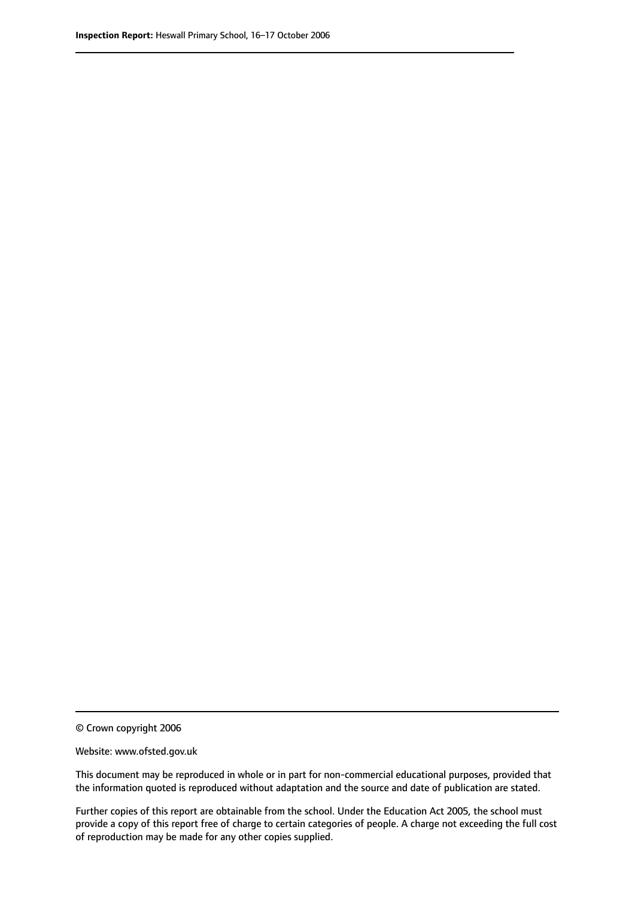© Crown copyright 2006

Website: www.ofsted.gov.uk

This document may be reproduced in whole or in part for non-commercial educational purposes, provided that the information quoted is reproduced without adaptation and the source and date of publication are stated.

Further copies of this report are obtainable from the school. Under the Education Act 2005, the school must provide a copy of this report free of charge to certain categories of people. A charge not exceeding the full cost of reproduction may be made for any other copies supplied.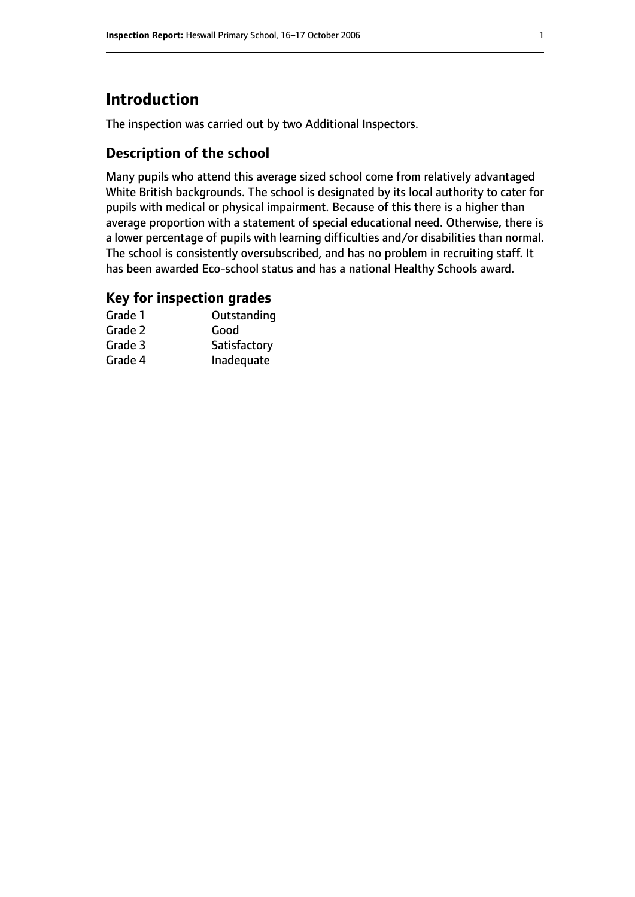# **Introduction**

The inspection was carried out by two Additional Inspectors.

## **Description of the school**

Many pupils who attend this average sized school come from relatively advantaged White British backgrounds. The school is designated by its local authority to cater for pupils with medical or physical impairment. Because of this there is a higher than average proportion with a statement of special educational need. Otherwise, there is a lower percentage of pupils with learning difficulties and/or disabilities than normal. The school is consistently oversubscribed, and has no problem in recruiting staff. It has been awarded Eco-school status and has a national Healthy Schools award.

### **Key for inspection grades**

| Grade 1 | Outstanding  |
|---------|--------------|
| Grade 2 | Good         |
| Grade 3 | Satisfactory |
| Grade 4 | Inadequate   |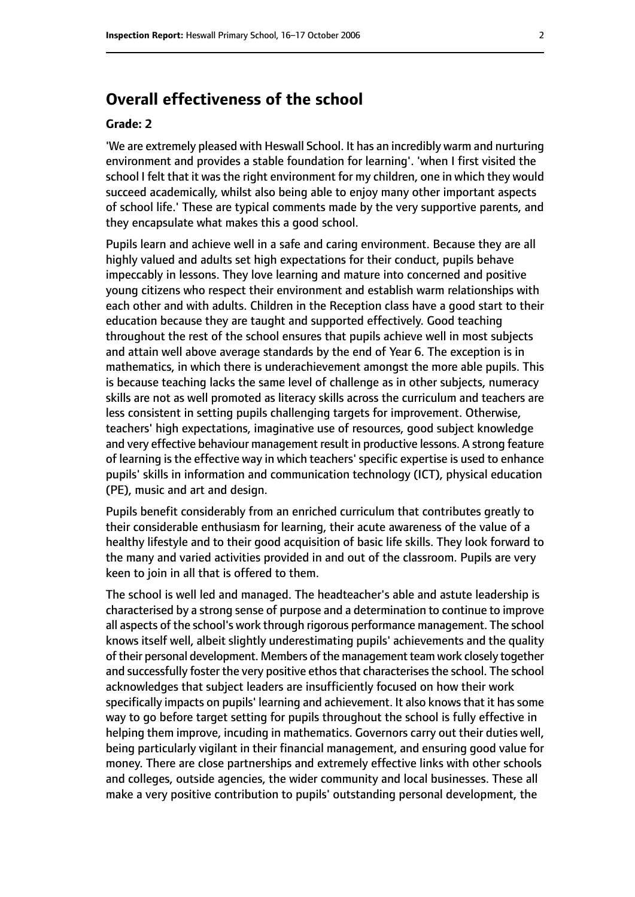# **Overall effectiveness of the school**

#### **Grade: 2**

'We are extremely pleased with Heswall School. It has an incredibly warm and nurturing environment and provides a stable foundation for learning'. 'when I first visited the school I felt that it was the right environment for my children, one in which they would succeed academically, whilst also being able to enjoy many other important aspects of school life.' These are typical comments made by the very supportive parents, and they encapsulate what makes this a good school.

Pupils learn and achieve well in a safe and caring environment. Because they are all highly valued and adults set high expectations for their conduct, pupils behave impeccably in lessons. They love learning and mature into concerned and positive young citizens who respect their environment and establish warm relationships with each other and with adults. Children in the Reception class have a good start to their education because they are taught and supported effectively. Good teaching throughout the rest of the school ensures that pupils achieve well in most subjects and attain well above average standards by the end of Year 6. The exception is in mathematics, in which there is underachievement amongst the more able pupils. This is because teaching lacks the same level of challenge as in other subjects, numeracy skills are not as well promoted as literacy skills across the curriculum and teachers are less consistent in setting pupils challenging targets for improvement. Otherwise, teachers' high expectations, imaginative use of resources, good subject knowledge and very effective behaviour management result in productive lessons. A strong feature of learning is the effective way in which teachers' specific expertise is used to enhance pupils' skills in information and communication technology (ICT), physical education (PE), music and art and design.

Pupils benefit considerably from an enriched curriculum that contributes greatly to their considerable enthusiasm for learning, their acute awareness of the value of a healthy lifestyle and to their good acquisition of basic life skills. They look forward to the many and varied activities provided in and out of the classroom. Pupils are very keen to join in all that is offered to them.

The school is well led and managed. The headteacher's able and astute leadership is characterised by a strong sense of purpose and a determination to continue to improve all aspects of the school's work through rigorous performance management. The school knows itself well, albeit slightly underestimating pupils' achievements and the quality of their personal development. Members of the management team work closely together and successfully foster the very positive ethos that characterises the school. The school acknowledges that subject leaders are insufficiently focused on how their work specifically impacts on pupils' learning and achievement. It also knows that it has some way to go before target setting for pupils throughout the school is fully effective in helping them improve, incuding in mathematics. Governors carry out their duties well, being particularly vigilant in their financial management, and ensuring good value for money. There are close partnerships and extremely effective links with other schools and colleges, outside agencies, the wider community and local businesses. These all make a very positive contribution to pupils' outstanding personal development, the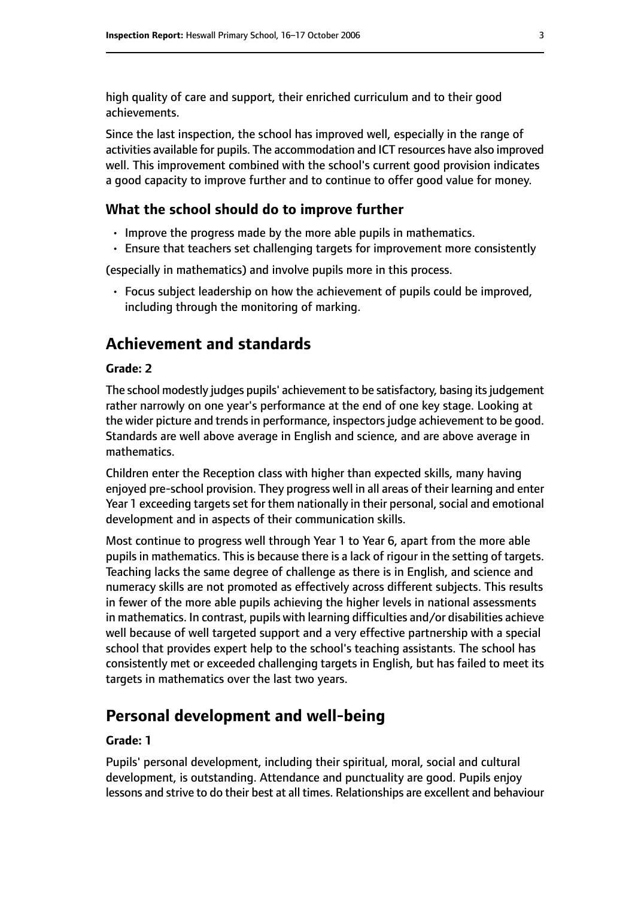high quality of care and support, their enriched curriculum and to their good achievements.

Since the last inspection, the school has improved well, especially in the range of activities available for pupils. The accommodation and ICT resources have also improved well. This improvement combined with the school's current good provision indicates a good capacity to improve further and to continue to offer good value for money.

#### **What the school should do to improve further**

- Improve the progress made by the more able pupils in mathematics.
- Ensure that teachers set challenging targets for improvement more consistently

(especially in mathematics) and involve pupils more in this process.

• Focus subject leadership on how the achievement of pupils could be improved, including through the monitoring of marking.

# **Achievement and standards**

#### **Grade: 2**

The school modestly judges pupils' achievement to be satisfactory, basing its judgement rather narrowly on one year's performance at the end of one key stage. Looking at the wider picture and trends in performance, inspectors judge achievement to be good. Standards are well above average in English and science, and are above average in mathematics.

Children enter the Reception class with higher than expected skills, many having enjoyed pre-school provision. They progress well in all areas of their learning and enter Year 1 exceeding targets set for them nationally in their personal, social and emotional development and in aspects of their communication skills.

Most continue to progress well through Year 1 to Year 6, apart from the more able pupils in mathematics. This is because there is a lack of rigour in the setting of targets. Teaching lacks the same degree of challenge as there is in English, and science and numeracy skills are not promoted as effectively across different subjects. This results in fewer of the more able pupils achieving the higher levels in national assessments in mathematics. In contrast, pupils with learning difficulties and/or disabilities achieve well because of well targeted support and a very effective partnership with a special school that provides expert help to the school's teaching assistants. The school has consistently met or exceeded challenging targets in English, but has failed to meet its targets in mathematics over the last two years.

## **Personal development and well-being**

#### **Grade: 1**

Pupils' personal development, including their spiritual, moral, social and cultural development, is outstanding. Attendance and punctuality are good. Pupils enjoy lessons and strive to do their best at all times. Relationships are excellent and behaviour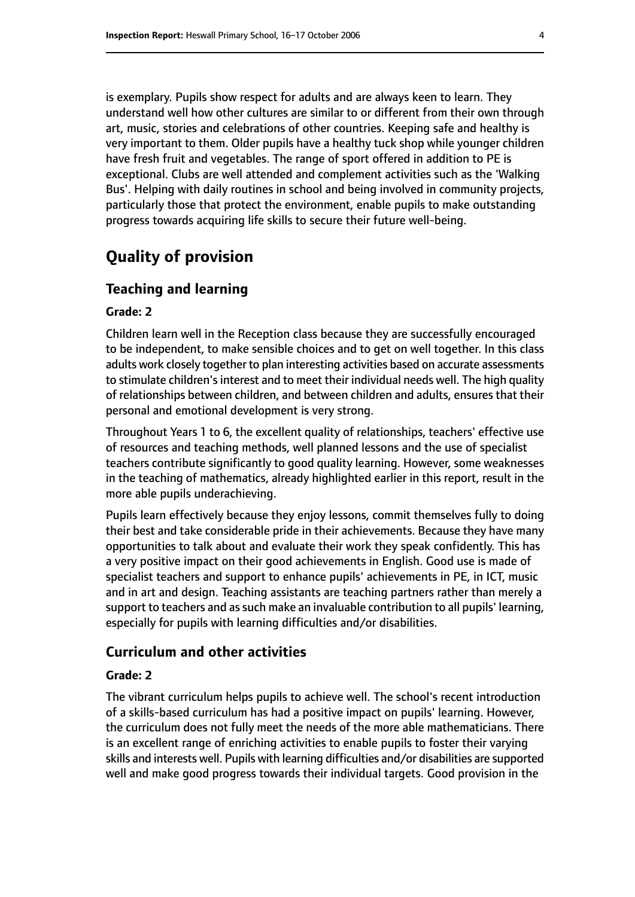is exemplary. Pupils show respect for adults and are always keen to learn. They understand well how other cultures are similar to or different from their own through art, music, stories and celebrations of other countries. Keeping safe and healthy is very important to them. Older pupils have a healthy tuck shop while younger children have fresh fruit and vegetables. The range of sport offered in addition to PE is exceptional. Clubs are well attended and complement activities such as the 'Walking Bus'. Helping with daily routines in school and being involved in community projects, particularly those that protect the environment, enable pupils to make outstanding progress towards acquiring life skills to secure their future well-being.

# **Quality of provision**

#### **Teaching and learning**

#### **Grade: 2**

Children learn well in the Reception class because they are successfully encouraged to be independent, to make sensible choices and to get on well together. In this class adults work closely together to plan interesting activities based on accurate assessments to stimulate children's interest and to meet their individual needs well. The high quality of relationships between children, and between children and adults, ensures that their personal and emotional development is very strong.

Throughout Years 1 to 6, the excellent quality of relationships, teachers' effective use of resources and teaching methods, well planned lessons and the use of specialist teachers contribute significantly to good quality learning. However, some weaknesses in the teaching of mathematics, already highlighted earlier in this report, result in the more able pupils underachieving.

Pupils learn effectively because they enjoy lessons, commit themselves fully to doing their best and take considerable pride in their achievements. Because they have many opportunities to talk about and evaluate their work they speak confidently. This has a very positive impact on their good achievements in English. Good use is made of specialist teachers and support to enhance pupils' achievements in PE, in ICT, music and in art and design. Teaching assistants are teaching partners rather than merely a support to teachers and as such make an invaluable contribution to all pupils' learning, especially for pupils with learning difficulties and/or disabilities.

#### **Curriculum and other activities**

#### **Grade: 2**

The vibrant curriculum helps pupils to achieve well. The school's recent introduction of a skills-based curriculum has had a positive impact on pupils' learning. However, the curriculum does not fully meet the needs of the more able mathematicians. There is an excellent range of enriching activities to enable pupils to foster their varying skills and interests well. Pupils with learning difficulties and/or disabilities are supported well and make good progress towards their individual targets. Good provision in the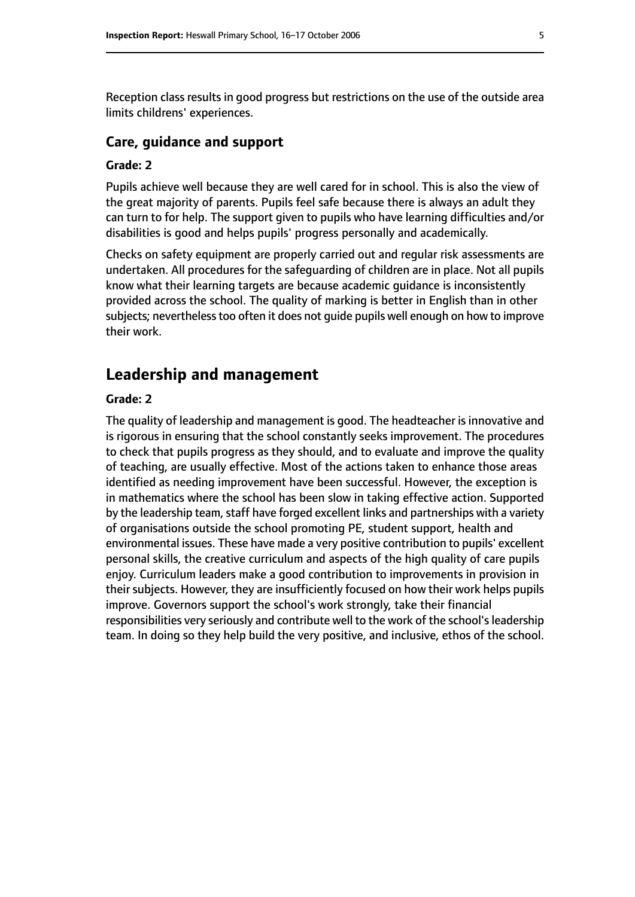Reception class results in good progress but restrictions on the use of the outside area limits childrens' experiences.

#### **Care, guidance and support**

#### **Grade: 2**

Pupils achieve well because they are well cared for in school. This is also the view of the great majority of parents. Pupils feel safe because there is always an adult they can turn to for help. The support given to pupils who have learning difficulties and/or disabilities is good and helps pupils' progress personally and academically.

Checks on safety equipment are properly carried out and regular risk assessments are undertaken. All procedures for the safeguarding of children are in place. Not all pupils know what their learning targets are because academic guidance is inconsistently provided across the school. The quality of marking is better in English than in other subjects; nevertheless too often it does not quide pupils well enough on how to improve their work.

## **Leadership and management**

#### **Grade: 2**

The quality of leadership and management is good. The headteacher is innovative and is rigorous in ensuring that the school constantly seeks improvement. The procedures to check that pupils progress as they should, and to evaluate and improve the quality of teaching, are usually effective. Most of the actions taken to enhance those areas identified as needing improvement have been successful. However, the exception is in mathematics where the school has been slow in taking effective action. Supported by the leadership team, staff have forged excellent links and partnerships with a variety of organisations outside the school promoting PE, student support, health and environmental issues. These have made a very positive contribution to pupils' excellent personal skills, the creative curriculum and aspects of the high quality of care pupils enjoy. Curriculum leaders make a good contribution to improvements in provision in their subjects. However, they are insufficiently focused on how their work helps pupils improve. Governors support the school's work strongly, take their financial responsibilities very seriously and contribute well to the work of the school's leadership team. In doing so they help build the very positive, and inclusive, ethos of the school.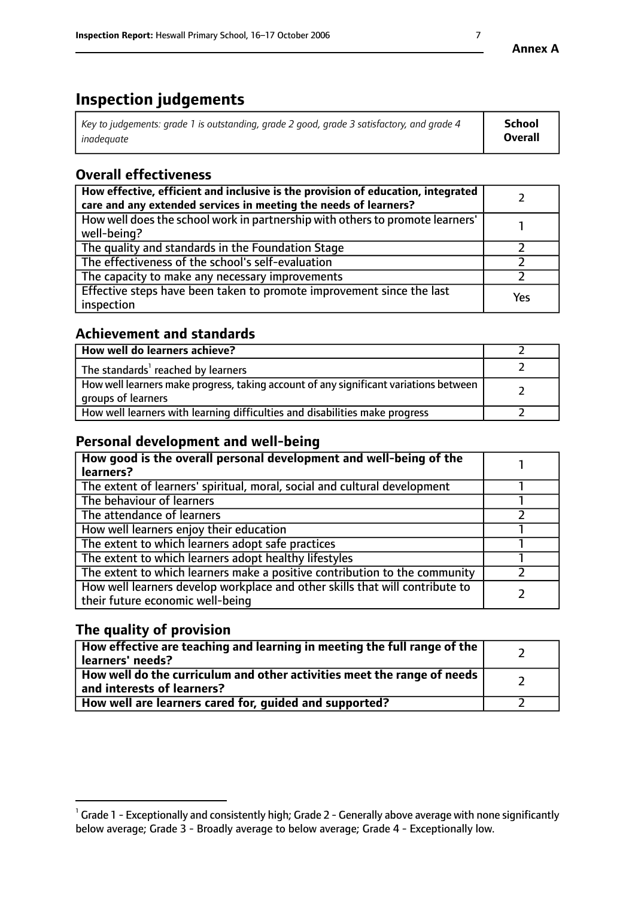# **Inspection judgements**

| Key to judgements: grade 1 is outstanding, grade 2 good, grade 3 satisfactory, and grade 4 | School         |
|--------------------------------------------------------------------------------------------|----------------|
| inadeauate                                                                                 | <b>Overall</b> |

# **Overall effectiveness**

| How effective, efficient and inclusive is the provision of education, integrated<br>care and any extended services in meeting the needs of learners? |     |
|------------------------------------------------------------------------------------------------------------------------------------------------------|-----|
| How well does the school work in partnership with others to promote learners'<br>well-being?                                                         |     |
| The quality and standards in the Foundation Stage                                                                                                    |     |
| The effectiveness of the school's self-evaluation                                                                                                    |     |
| The capacity to make any necessary improvements                                                                                                      |     |
| Effective steps have been taken to promote improvement since the last<br>inspection                                                                  | Yes |

## **Achievement and standards**

| How well do learners achieve?                                                                               |  |
|-------------------------------------------------------------------------------------------------------------|--|
| The standards <sup>1</sup> reached by learners                                                              |  |
| How well learners make progress, taking account of any significant variations between<br>groups of learners |  |
| How well learners with learning difficulties and disabilities make progress                                 |  |

# **Personal development and well-being**

| How good is the overall personal development and well-being of the<br>learners?                                  |  |
|------------------------------------------------------------------------------------------------------------------|--|
| The extent of learners' spiritual, moral, social and cultural development                                        |  |
| The behaviour of learners                                                                                        |  |
| The attendance of learners                                                                                       |  |
| How well learners enjoy their education                                                                          |  |
| The extent to which learners adopt safe practices                                                                |  |
| The extent to which learners adopt healthy lifestyles                                                            |  |
| The extent to which learners make a positive contribution to the community                                       |  |
| How well learners develop workplace and other skills that will contribute to<br>their future economic well-being |  |

# **The quality of provision**

| How effective are teaching and learning in meeting the full range of the<br>  learners' needs?                      |  |
|---------------------------------------------------------------------------------------------------------------------|--|
| $\mid$ How well do the curriculum and other activities meet the range of needs<br>$\mid$ and interests of learners? |  |
| How well are learners cared for, guided and supported?                                                              |  |

 $^1$  Grade 1 - Exceptionally and consistently high; Grade 2 - Generally above average with none significantly below average; Grade 3 - Broadly average to below average; Grade 4 - Exceptionally low.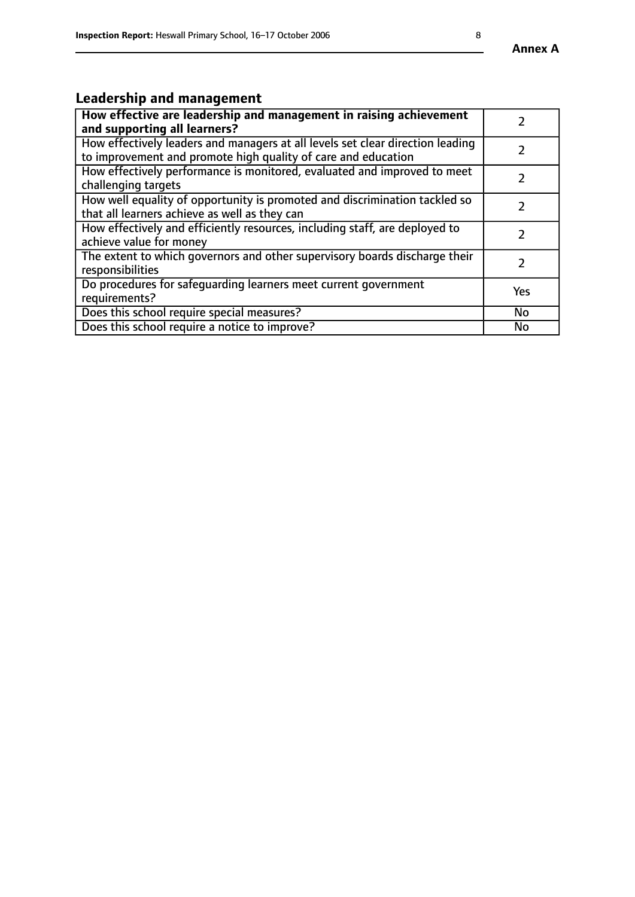# **Leadership and management**

| How effective are leadership and management in raising achievement<br>and supporting all learners?                                              |           |
|-------------------------------------------------------------------------------------------------------------------------------------------------|-----------|
| How effectively leaders and managers at all levels set clear direction leading<br>to improvement and promote high quality of care and education |           |
| How effectively performance is monitored, evaluated and improved to meet<br>challenging targets                                                 |           |
| How well equality of opportunity is promoted and discrimination tackled so<br>that all learners achieve as well as they can                     |           |
| How effectively and efficiently resources, including staff, are deployed to<br>achieve value for money                                          |           |
| The extent to which governors and other supervisory boards discharge their<br>responsibilities                                                  |           |
| Do procedures for safeguarding learners meet current government<br>requirements?                                                                | Yes       |
| Does this school require special measures?                                                                                                      | <b>No</b> |
| Does this school require a notice to improve?                                                                                                   | No        |